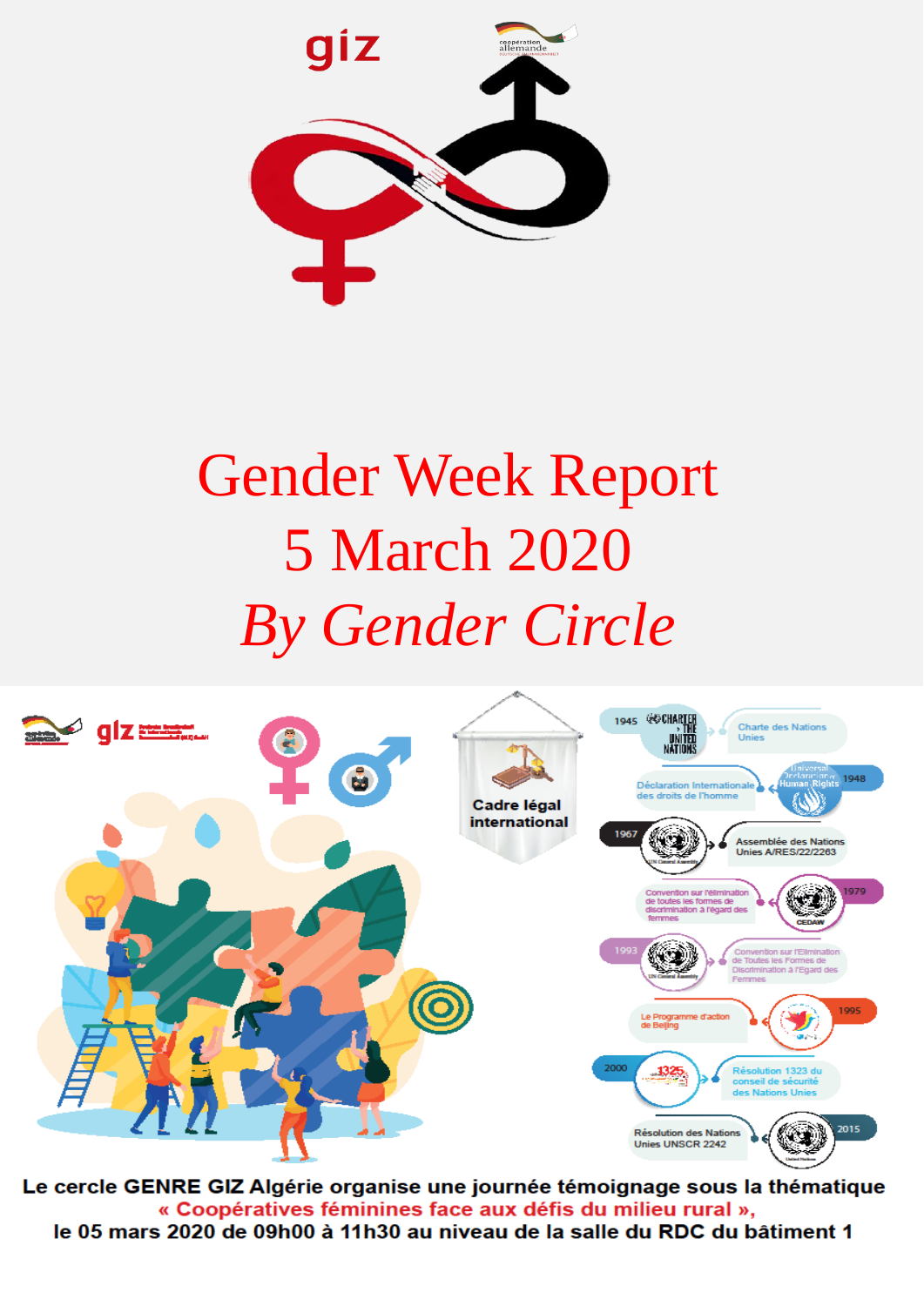

## Gender Week Report 5 March 2020 *By Gender Circle*



Le cercle GENRE GIZ Algérie organise une journée témoignage sous la thématique « Coopératives féminines face aux défis du milieu rural », le 05 mars 2020 de 09h00 à 11h30 au niveau de la salle du RDC du bâtiment 1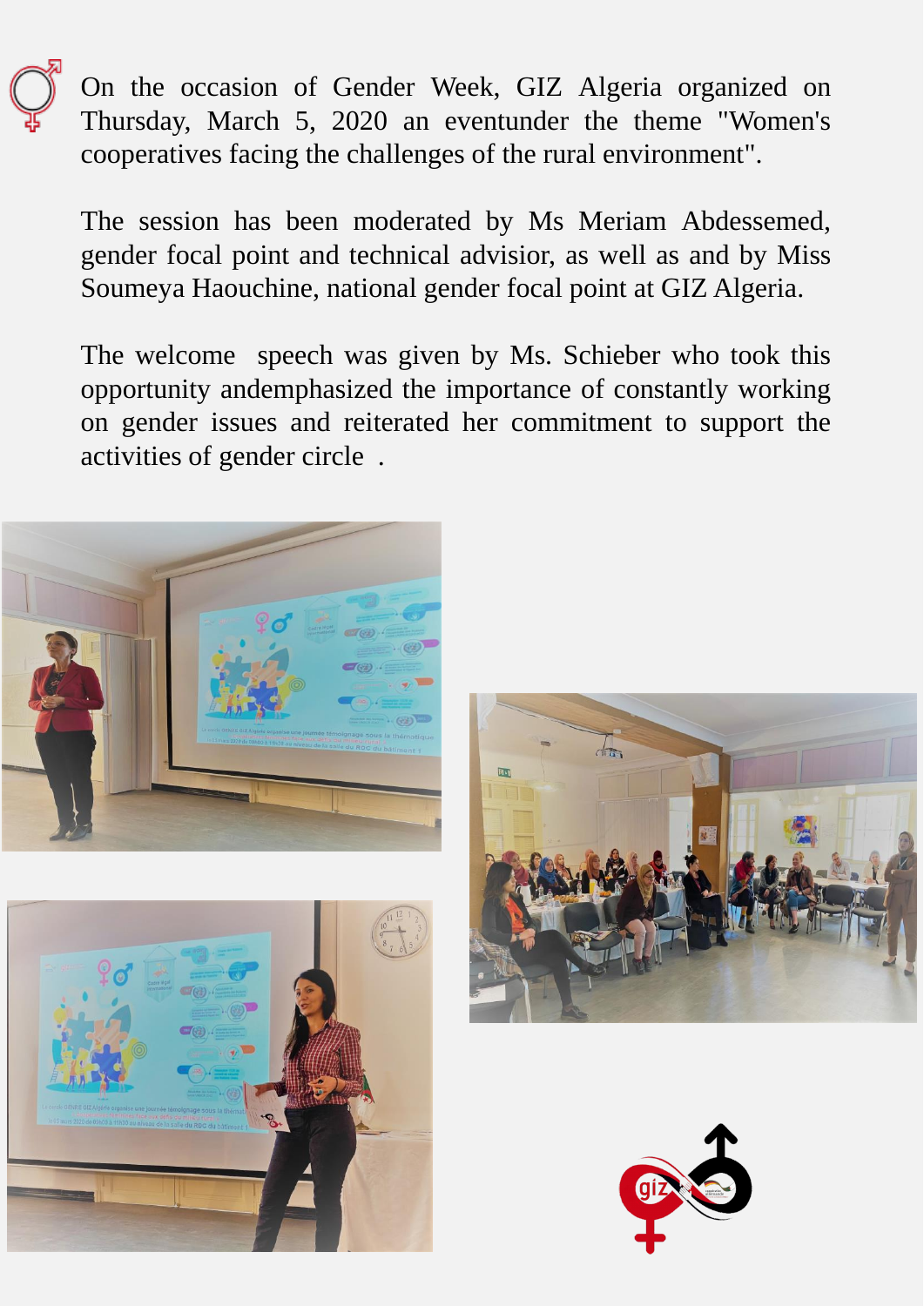On the occasion of Gender Week, GIZ Algeria organized on Thursday, March 5, 2020 an eventunder the theme "Women's cooperatives facing the challenges of the rural environment".

The session has been moderated by Ms Meriam Abdessemed, gender focal point and technical advisior, as well as and by Miss Soumeya Haouchine, national gender focal point at GIZ Algeria.

The welcome speech was given by Ms. Schieber who took this opportunity andemphasized the importance of constantly working on gender issues and reiterated her commitment to support the activities of gender circle .







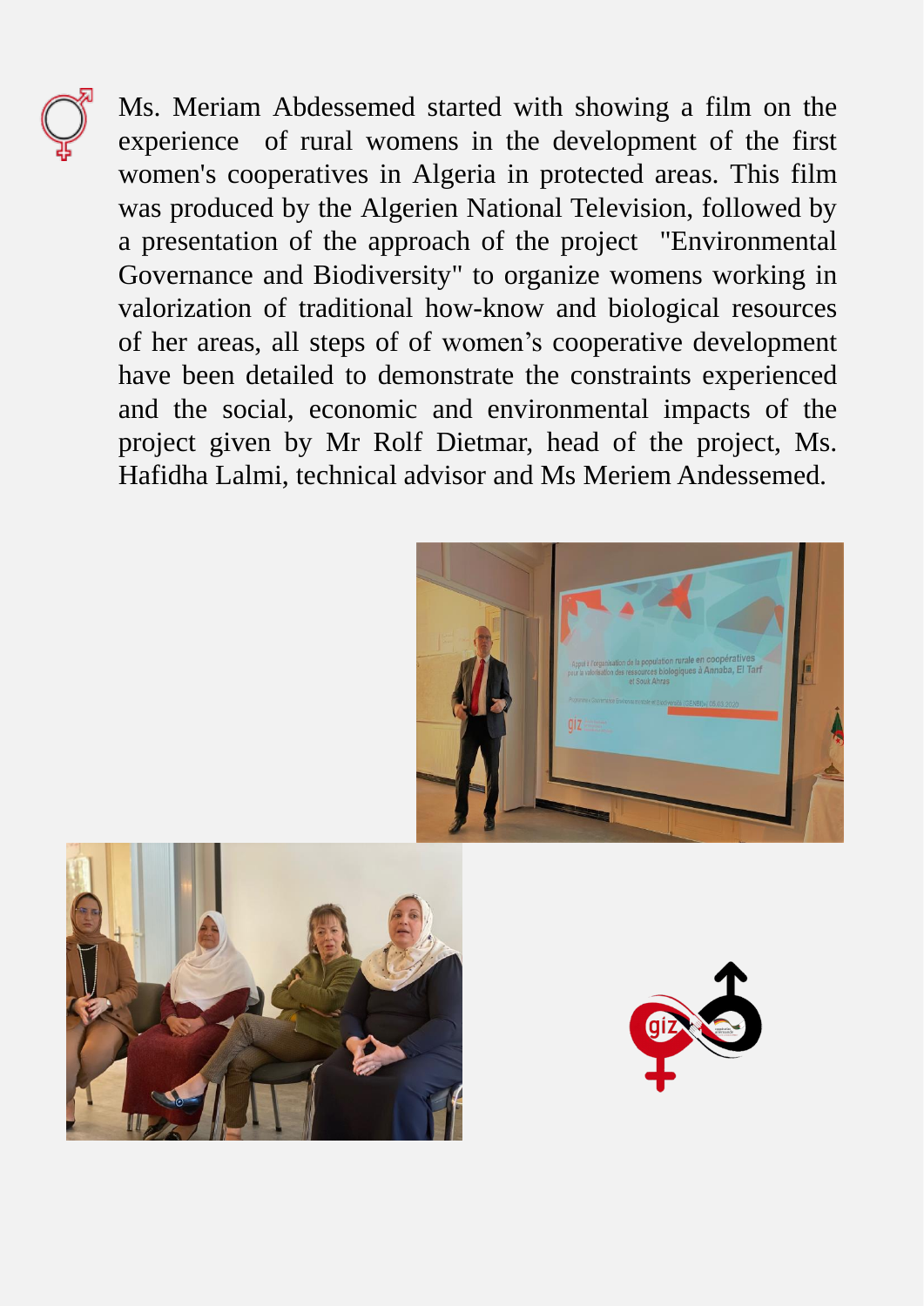

Ms. Meriam Abdessemed started with showing a film on the experience of rural womens in the development of the first women's cooperatives in Algeria in protected areas. This film was produced by the Algerien National Television, followed by a presentation of the approach of the project "Environmental Governance and Biodiversity" to organize womens working in valorization of traditional how-know and biological resources of her areas, all steps of of women's cooperative development have been detailed to demonstrate the constraints experienced and the social, economic and environmental impacts of the project given by Mr Rolf Dietmar, head of the project, Ms. Hafidha Lalmi, technical advisor and Ms Meriem Andessemed.